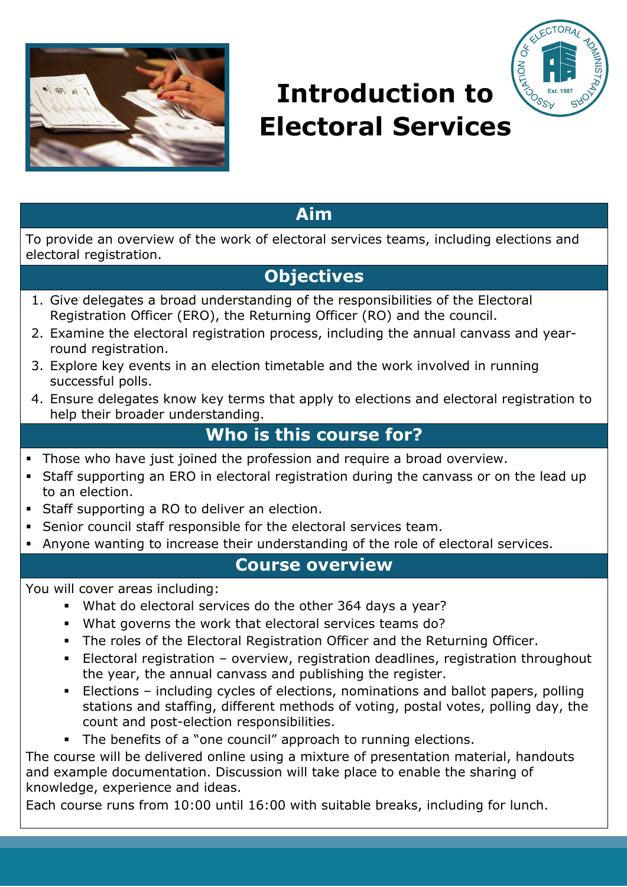



# **Introduction to Electoral Services**

## **Aim**

To provide an overview of the work of electoral services teams, including elections and electoral registration.

# **Objectives**

- 1. Give delegates a broad understanding of the responsibilities of the Electoral Registration Officer (ERO), the Returning Officer (RO) and the council.
- 2. Examine the electoral registration process, including the annual canvass and yearround registration.
- 3. Explore key events in an election timetable and the work involved in running successful polls.
- 4. Ensure delegates know key terms that apply to elections and electoral registration to help their broader understanding.

# **Who is this course for?**

- Those who have just joined the profession and require a broad overview.
- Staff supporting an ERO in electoral registration during the canvass or on the lead up to an election.
- Staff supporting a RO to deliver an election.
- Senior council staff responsible for the electoral services team.
- Anyone wanting to increase their understanding of the role of electoral services.

### **Course overview**

You will cover areas including:

- What do electoral services do the other 364 days a year?
- What governs the work that electoral services teams do?
- The roles of the Electoral Registration Officer and the Returning Officer.
- Electoral registration overview, registration deadlines, registration throughout the year, the annual canvass and publishing the register.
- Elections including cycles of elections, nominations and ballot papers, polling stations and staffing, different methods of voting, postal votes, polling day, the count and post-election responsibilities.
- The benefits of a "one council" approach to running elections.

The course will be delivered online using a mixture of presentation material, handouts and example documentation. Discussion will take place to enable the sharing of knowledge, experience and ideas.

Each course runs from 10:00 until 16:00 with suitable breaks, including for lunch.